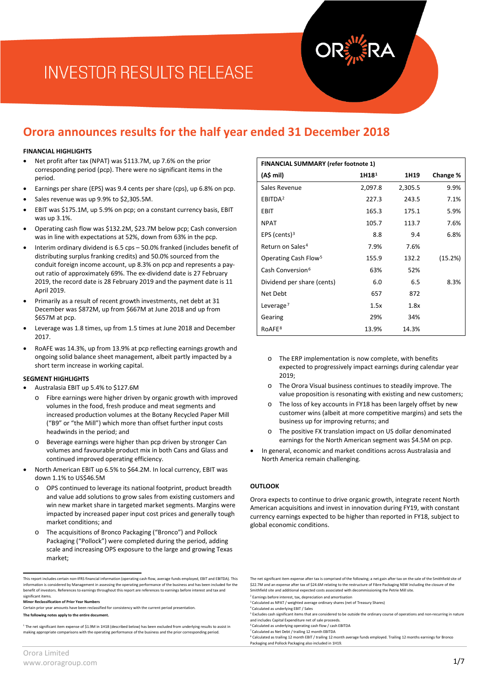# **INVESTOR RESULTS RELEASE**

# **Orora announces results for the half year ended 31 December 2018**

#### **FINANCIAL HIGHLIGHTS**

- Net profit after tax (NPAT) was \$113.7M, up 7.6% on the prior corresponding period (pcp). There were no significant items in the period.
- Earnings per share (EPS) was 9.4 cents per share (cps), up 6.8% on pcp.
- Sales revenue was up 9.9% to \$2,305.5M.
- EBIT was \$175.1M, up 5.9% on pcp; on a constant currency basis, EBIT was up 3.1%.
- Operating cash flow was \$132.2M, \$23.7M below pcp; Cash conversion was in line with expectations at 52%, down from 63% in the pcp.
- Interim ordinary dividend is 6.5 cps 50.0% franked (includes benefit of distributing surplus franking credits) and 50.0% sourced from the conduit foreign income account, up 8.3% on pcp and represents a payout ratio of approximately 69%. The ex-dividend date is 27 February 2019, the record date is 28 February 2019 and the payment date is 11 April 2019.
- Primarily as a result of recent growth investments, net debt at 31 December was \$872M, up from \$667M at June 2018 and up from \$657M at pcp.
- Leverage was 1.8 times, up from 1.5 times at June 2018 and December 2017.
- RoAFE was 14.3%, up from 13.9% at pcp reflecting earnings growth and ongoing solid balance sheet management, albeit partly impacted by a short term increase in working capital.

#### **SEGMENT HIGHLIGHTS**

- Australasia EBIT up 5.4% to \$127.6M
	- o Fibre earnings were higher driven by organic growth with improved volumes in the food, fresh produce and meat segments and increased production volumes at the Botany Recycled Paper Mill ("B9" or "the Mill") which more than offset further input costs headwinds in the period; and
	- o Beverage earnings were higher than pcp driven by stronger Can volumes and favourable product mix in both Cans and Glass and continued improved operating efficiency.
- North American EBIT up 6.5% to \$64.2M. In local currency, EBIT was down 1.1% to US\$46.5M
	- OPS continued to leverage its national footprint, product breadth and value add solutions to grow sales from existing customers and win new market share in targeted market segments. Margins were impacted by increased paper input cost prices and generally tough market conditions; and
	- o The acquisitions of Bronco Packaging ("Bronco") and Pollock Packaging ("Pollock") were completed during the period, adding scale and increasing OPS exposure to the large and growing Texas market;

| <b>FINANCIAL SUMMARY (refer footnote 1)</b> |                   |         |          |
|---------------------------------------------|-------------------|---------|----------|
| (A\$ mil)                                   | 1H18 <sup>1</sup> | 1H19    | Change % |
| Sales Revenue                               | 2,097.8           | 2,305.5 | 9.9%     |
| EBITDA <sup>2</sup>                         | 227.3             | 243.5   | 7.1%     |
| <b>EBIT</b>                                 | 165.3             | 175.1   | 5.9%     |
| <b>NPAT</b>                                 | 105.7             | 113.7   | 7.6%     |
| EPS (cents) $3$                             | 8.8               | 9.4     | 6.8%     |
| Return on Sales <sup>4</sup>                | 7.9%              | 7.6%    |          |
| Operating Cash Flow <sup>5</sup>            | 155.9             | 132.2   | (15.2%)  |
| Cash Conversion <sup>6</sup>                | 63%               | 52%     |          |
| Dividend per share (cents)                  | 6.0               | 6.5     | 8.3%     |
| Net Debt                                    | 657               | 872     |          |
| Leverage <sup>7</sup>                       | 1.5x              | 1.8x    |          |
| Gearing                                     | 29%               | 34%     |          |
| RoAFE <sup>8</sup>                          | 13.9%             | 14.3%   |          |

- o The ERP implementation is now complete, with benefits expected to progressively impact earnings during calendar year  $2019$
- o The Orora Visual business continues to steadily improve. The value proposition is resonating with existing and new customers;
- The loss of key accounts in FY18 has been largely offset by new customer wins (albeit at more competitive margins) and sets the business up for improving returns; and
- o The positive FX translation impact on US dollar denominated earnings for the North American segment was \$4.5M on pcp.
- In general, economic and market conditions across Australasia and North America remain challenging.

### **OUTLOOK**

Orora expects to continue to drive organic growth, integrate recent North American acquisitions and invest in innovation during FY19, with constant currency earnings expected to be higher than reported in FY18, subject to global economic conditions.

<span id="page-0-0"></span>This report includes certain non-IFRS financial information (operating cash flow, average funds employed, EBIT and EBITDA). This on is considered by Management in assessing the operating performance of the business and has been included for the benefit of investors. References to earnings throughout this report are references to earnings before interest and tax and significant items.

<span id="page-0-2"></span><span id="page-0-1"></span>**Minor Reclassification of Prior Year Numbers**

<span id="page-0-3"></span>Certain prior year amounts have been reclassified for consistency with the current period presentation. **The following notes apply to the entire document.**

<span id="page-0-7"></span><span id="page-0-6"></span><span id="page-0-5"></span><span id="page-0-4"></span><sup>1</sup> The net significant item expense of \$1.9M in 1H18 (described below) has been excluded from underlying results to assist in making appropriate comparisons with the operating performance of the business and the prior corresponding period.

The net significant item expense after tax is comprised of the following; a net gain after tax on the sale of the Smithfield site of \$22.7M and an expense after tax of \$24.6M relating to the restructure of Fibre Packaging NSW including the closure of the Smithfield site and additional expected costs associated with decommissioning the Petrie Mill site.

<sup>&</sup>lt;sup>2</sup> Earnings before interest, tax, depreciation and amortisation

<sup>&</sup>lt;sup>3</sup> Calculated as NPAT / weighted average ordinary shares (net of Treasury Shares)<br><sup>4</sup> Calculated as underlying EBIT / Sales

<sup>&</sup>lt;sup>5</sup> Excludes cash significant items that are considered to be outside the ordinary course of operations and non-recurring in nature

and includes Capital Expenditure net of sale proceeds.<br><sup>6</sup> Calculated as underlying operating cash flow / cash EBITDA

<sup>7</sup> Calculated as Net Debt / trailing 12 month EBITDA

<sup>&</sup>lt;sup>8</sup> Calculated as trailing 12 month EBIT / trailing 12 month average funds employed. Trailing 12 months earnings for Bronco<br>Packaging and Pollock Packaging also included in 1H19.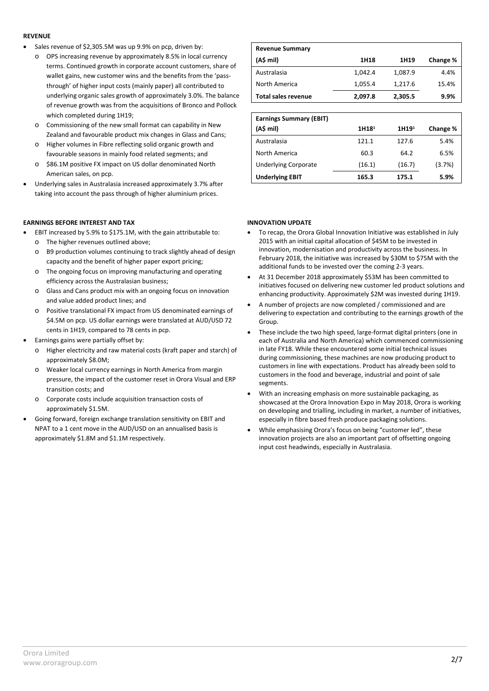#### **REVENUE**

- Sales revenue of \$2,305.5M was up 9.9% on pcp, driven by:
	- o OPS increasing revenue by approximately 8.5% in local currency terms. Continued growth in corporate account customers, share of wallet gains, new customer wins and the benefits from the 'passthrough' of higher input costs (mainly paper) all contributed to underlying organic sales growth of approximately 3.0%. The balance of revenue growth was from the acquisitions of Bronco and Pollock which completed during 1H19;
	- o Commissioning of the new small format can capability in New Zealand and favourable product mix changes in Glass and Cans;
	- o Higher volumes in Fibre reflecting solid organic growth and favourable seasons in mainly food related segments; and
	- o \$86.1M positive FX impact on US dollar denominated North American sales, on pcp.
- Underlying sales in Australasia increased approximately 3.7% after taking into account the pass through of higher aluminium prices.

### **EARNINGS BEFORE INTEREST AND TAX**

- EBIT increased by 5.9% to \$175.1M, with the gain attributable to:
	- o The higher revenues outlined above;
	- o B9 production volumes continuing to track slightly ahead of design capacity and the benefit of higher paper export pricing;
	- o The ongoing focus on improving manufacturing and operating efficiency across the Australasian business;
	- o Glass and Cans product mix with an ongoing focus on innovation and value added product lines; and
	- o Positive translational FX impact from US denominated earnings of \$4.5M on pcp. US dollar earnings were translated at AUD/USD 72 cents in 1H19, compared to 78 cents in pcp.
- Earnings gains were partially offset by:
	- o Higher electricity and raw material costs (kraft paper and starch) of approximately \$8.0M;
	- o Weaker local currency earnings in North America from margin pressure, the impact of the customer reset in Orora Visual and ERP transition costs; and
	- o Corporate costs include acquisition transaction costs of approximately \$1.5M.
- Going forward, foreign exchange translation sensitivity on EBIT and NPAT to a 1 cent move in the AUD/USD on an annualised basis is approximately \$1.8M and \$1.1M respectively.

| <b>Revenue Summary</b>     |         |         |          |
|----------------------------|---------|---------|----------|
| (A\$ mil)                  | 1H18    | 1H19    | Change % |
| Australasia                | 1,042.4 | 1,087.9 | 4.4%     |
| North America              | 1,055.4 | 1,217.6 | 15.4%    |
| <b>Total sales revenue</b> | 2,097.8 | 2,305.5 | 9.9%     |

| <b>Earnings Summary (EBIT)</b> |                   |                   |          |
|--------------------------------|-------------------|-------------------|----------|
| (A\$ mil)                      | 1H18 <sup>1</sup> | 1H19 <sup>1</sup> | Change % |
| Australasia                    | 121.1             | 127.6             | 5.4%     |
| North America                  | 60.3              | 64.2              | 6.5%     |
| <b>Underlying Corporate</b>    | (16.1)            | (16.7)            | (3.7%)   |
| <b>Underlying EBIT</b>         | 165.3             | 175.1             | 5.9%     |

### **INNOVATION UPDATE**

- To recap, the Orora Global Innovation Initiative was established in July 2015 with an initial capital allocation of \$45M to be invested in innovation, modernisation and productivity across the business. In February 2018, the initiative was increased by \$30M to \$75M with the additional funds to be invested over the coming 2-3 years.
- At 31 December 2018 approximately \$53M has been committed to initiatives focused on delivering new customer led product solutions and enhancing productivity. Approximately \$2M was invested during 1H19.
- A number of projects are now completed / commissioned and are delivering to expectation and contributing to the earnings growth of the Group.
- These include the two high speed, large-format digital printers (one in each of Australia and North America) which commenced commissioning in late FY18. While these encountered some initial technical issues during commissioning, these machines are now producing product to customers in line with expectations. Product has already been sold to customers in the food and beverage, industrial and point of sale segments.
- With an increasing emphasis on more sustainable packaging, as showcased at the Orora Innovation Expo in May 2018, Orora is working on developing and trialling, including in market, a number of initiatives, especially in fibre based fresh produce packaging solutions.
- While emphasising Orora's focus on being "customer led", these innovation projects are also an important part of offsetting ongoing input cost headwinds, especially in Australasia.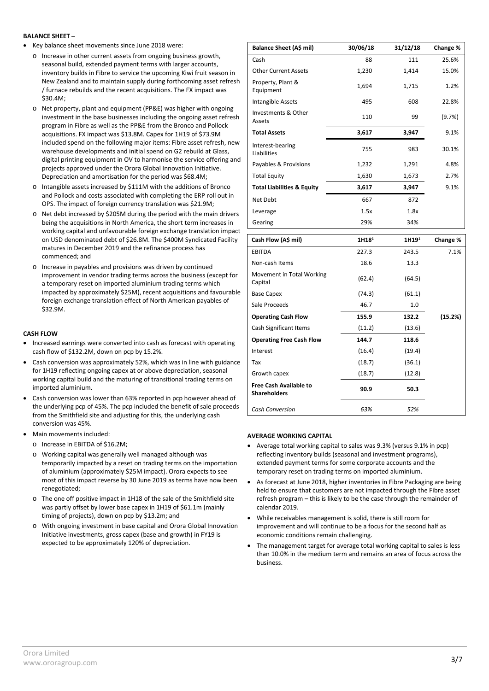#### **BALANCE SHEET –**

- Key balance sheet movements since June 2018 were:
	- o Increase in other current assets from ongoing business growth, seasonal build, extended payment terms with larger accounts, inventory builds in Fibre to service the upcoming Kiwi fruit season in New Zealand and to maintain supply during forthcoming asset refresh / furnace rebuilds and the recent acquisitions. The FX impact was \$30.4M;
	- o Net property, plant and equipment (PP&E) was higher with ongoing investment in the base businesses including the ongoing asset refresh program in Fibre as well as the PP&E from the Bronco and Pollock acquisitions. FX impact was \$13.8M. Capex for 1H19 of \$73.9M included spend on the following major items: Fibre asset refresh, new warehouse developments and initial spend on G2 rebuild at Glass, digital printing equipment in OV to harmonise the service offering and projects approved under the Orora Global Innovation Initiative. Depreciation and amortisation for the period was \$68.4M;
	- o Intangible assets increased by \$111M with the additions of Bronco and Pollock and costs associated with completing the ERP roll out in OPS. The impact of foreign currency translation was \$21.9M;
	- o Net debt increased by \$205M during the period with the main drivers being the acquisitions in North America, the short term increases in working capital and unfavourable foreign exchange translation impact on USD denominated debt of \$26.8M. The \$400M Syndicated Facility matures in December 2019 and the refinance process has commenced; and
	- o Increase in payables and provisions was driven by continued improvement in vendor trading terms across the business (except for a temporary reset on imported aluminium trading terms which impacted by approximately \$25M), recent acquisitions and favourable foreign exchange translation effect of North American payables of \$32.9M.

#### **CASH FLOW**

- Increased earnings were converted into cash as forecast with operating cash flow of \$132.2M, down on pcp by 15.2%.
- Cash conversion was approximately 52%, which was in line with guidance for 1H19 reflecting ongoing capex at or above depreciation, seasonal working capital build and the maturing of transitional trading terms on imported aluminium.
- Cash conversion was lower than 63% reported in pcp however ahead of the underlying pcp of 45%. The pcp included the benefit of sale proceeds from the Smithfield site and adjusting for this, the underlying cash conversion was 45%.
- Main movements included:
	- o Increase in EBITDA of \$16.2M;
	- o Working capital was generally well managed although was temporarily impacted by a reset on trading terms on the importation of aluminium (approximately \$25M impact). Orora expects to see most of this impact reverse by 30 June 2019 as terms have now been renegotiated;
	- o The one off positive impact in 1H18 of the sale of the Smithfield site was partly offset by lower base capex in 1H19 of \$61.1m (mainly timing of projects), down on pcp by \$13.2m; and
	- o With ongoing investment in base capital and Orora Global Innovation Initiative investments, gross capex (base and growth) in FY19 is expected to be approximately 120% of depreciation.

| Balance Sheet (A\$ mil)               | 30/06/18 | 31/12/18 | Change % |
|---------------------------------------|----------|----------|----------|
| Cash                                  | 88       | 111      | 25.6%    |
| <b>Other Current Assets</b>           | 1,230    | 1,414    | 15.0%    |
| Property, Plant &<br>Equipment        | 1,694    | 1,715    | 1.2%     |
| Intangible Assets                     | 495      | 608      | 22.8%    |
| Investments & Other<br>Assets         | 110      | 99       | (9.7%)   |
| <b>Total Assets</b>                   | 3,617    | 3,947    | 9.1%     |
| Interest-bearing<br>Liabilities       | 755      | 983      | 30.1%    |
| Payables & Provisions                 | 1,232    | 1,291    | 4.8%     |
| <b>Total Equity</b>                   | 1,630    | 1,673    | 2.7%     |
| <b>Total Liabilities &amp; Equity</b> | 3,617    | 3,947    | 9.1%     |
| Net Debt                              | 667      | 872      |          |
| Leverage                              | 1.5x     | 1.8x     |          |
| Gearing                               | 29%      | 34%      |          |
|                                       |          |          |          |

| Cash Flow (A\$ mil)                                  | 1H18 <sup>1</sup> | 1H19 <sup>1</sup> | Change % |
|------------------------------------------------------|-------------------|-------------------|----------|
| <b>EBITDA</b>                                        | 227.3             | 243.5             | 7.1%     |
| Non-cash Items                                       | 18.6              | 13.3              |          |
| Movement in Total Working<br>Capital                 | (62.4)            | (64.5)            |          |
| <b>Base Capex</b>                                    | (74.3)            | (61.1)            |          |
| Sale Proceeds                                        | 46.7              | 1.0               |          |
| <b>Operating Cash Flow</b>                           | 155.9             | 132.2             | (15.2%)  |
| Cash Significant Items                               | (11.2)            | (13.6)            |          |
| <b>Operating Free Cash Flow</b>                      | 144.7             | 118.6             |          |
| Interest                                             | (16.4)            | (19.4)            |          |
| Tax                                                  | (18.7)            | (36.1)            |          |
| Growth capex                                         | (18.7)            | (12.8)            |          |
| <b>Free Cash Available to</b><br><b>Shareholders</b> | 90.9              | 50.3              |          |
| <b>Cash Conversion</b>                               | 63%               | 52%               |          |

#### **AVERAGE WORKING CAPITAL**

- Average total working capital to sales was 9.3% (versus 9.1% in pcp) reflecting inventory builds (seasonal and investment programs), extended payment terms for some corporate accounts and the temporary reset on trading terms on imported aluminium.
- As forecast at June 2018, higher inventories in Fibre Packaging are being held to ensure that customers are not impacted through the Fibre asset refresh program – this is likely to be the case through the remainder of calendar 2019.
- While receivables management is solid, there is still room for improvement and will continue to be a focus for the second half as economic conditions remain challenging.
- The management target for average total working capital to sales is less than 10.0% in the medium term and remains an area of focus across the business.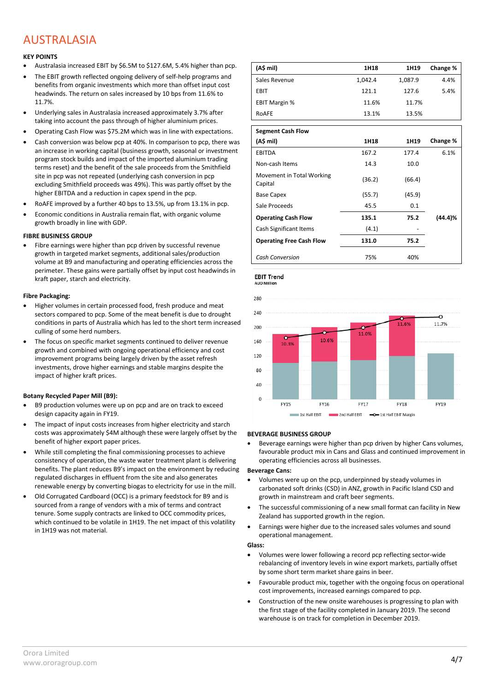# AUSTRALASIA

### **KEY POINTS**

- Australasia increased EBIT by \$6.5M to \$127.6M, 5.4% higher than pcp.
- The EBIT growth reflected ongoing delivery of self-help programs and benefits from organic investments which more than offset input cost headwinds. The return on sales increased by 10 bps from 11.6% to 11.7%.
- Underlying sales in Australasia increased approximately 3.7% after taking into account the pass through of higher aluminium prices.
- Operating Cash Flow was \$75.2M which was in line with expectations.
- Cash conversion was below pcp at 40%. In comparison to pcp, there was an increase in working capital (business growth, seasonal or investment program stock builds and impact of the imported aluminium trading terms reset) and the benefit of the sale proceeds from the Smithfield site in pcp was not repeated (underlying cash conversion in pcp excluding Smithfield proceeds was 49%). This was partly offset by the higher EBITDA and a reduction in capex spend in the pcp.
- RoAFE improved by a further 40 bps to 13.5%, up from 13.1% in pcp.
- Economic conditions in Australia remain flat, with organic volume growth broadly in line with GDP.

#### **FIBRE BUSINESS GROUP**

• Fibre earnings were higher than pcp driven by successful revenue growth in targeted market segments, additional sales/production volume at B9 and manufacturing and operating efficiencies across the perimeter. These gains were partially offset by input cost headwinds in kraft paper, starch and electricity.

#### **Fibre Packaging:**

- Higher volumes in certain processed food, fresh produce and meat sectors compared to pcp. Some of the meat benefit is due to drought conditions in parts of Australia which has led to the short term increased culling of some herd numbers.
- The focus on specific market segments continued to deliver revenue growth and combined with ongoing operational efficiency and cost improvement programs being largely driven by the asset refresh investments, drove higher earnings and stable margins despite the impact of higher kraft prices.

#### **Botany Recycled Paper Mill (B9):**

- B9 production volumes were up on pcp and are on track to exceed design capacity again in FY19.
- The impact of input costs increases from higher electricity and starch costs was approximately \$4M although these were largely offset by the benefit of higher export paper prices.
- While still completing the final commissioning processes to achieve consistency of operation, the waste water treatment plant is delivering benefits. The plant reduces B9's impact on the environment by reducing regulated discharges in effluent from the site and also generates renewable energy by converting biogas to electricity for use in the mill.
- Old Corrugated Cardboard (OCC) is a primary feedstock for B9 and is sourced from a range of vendors with a mix of terms and contract tenure. Some supply contracts are linked to OCC commodity prices, which continued to be volatile in 1H19. The net impact of this volatility in 1H19 was not material.

| (A\$ mi)             | 1H18    | 1H19    | Change % |
|----------------------|---------|---------|----------|
| Sales Revenue        | 1,042.4 | 1,087.9 | 4.4%     |
| EBIT                 | 121.1   | 127.6   | 5.4%     |
| <b>EBIT Margin %</b> | 11.6%   | 11.7%   |          |
| RoAFE                | 13.1%   | 13.5%   |          |

| <b>Segment Cash Flow</b>             |        |        |          |
|--------------------------------------|--------|--------|----------|
| (A\$ mil)                            | 1H18   | 1H19   | Change % |
| <b>EBITDA</b>                        | 167.2  | 177.4  | 6.1%     |
| Non-cash Items                       | 14.3   | 10.0   |          |
| Movement in Total Working<br>Capital | (36.2) | (66.4) |          |
| <b>Base Capex</b>                    | (55.7) | (45.9) |          |
| Sale Proceeds                        | 45.5   | 0.1    |          |
| <b>Operating Cash Flow</b>           | 135.1  | 75.2   | (44.4)%  |
| Cash Significant Items               | (4.1)  |        |          |
| <b>Operating Free Cash Flow</b>      | 131.0  | 75.2   |          |
| <b>Cash Conversion</b>               | 75%    | 40%    |          |

**EBIT Trend AUD Mill** 



#### **BEVERAGE BUSINESS GROUP**

• Beverage earnings were higher than pcp driven by higher Cans volumes, favourable product mix in Cans and Glass and continued improvement in operating efficiencies across all businesses.

#### **Beverage Cans:**

- Volumes were up on the pcp, underpinned by steady volumes in carbonated soft drinks (CSD) in ANZ, growth in Pacific Island CSD and growth in mainstream and craft beer segments.
- The successful commissioning of a new small format can facility in New Zealand has supported growth in the region.
- Earnings were higher due to the increased sales volumes and sound operational management.

#### **Glass:**

- Volumes were lower following a record pcp reflecting sector-wide rebalancing of inventory levels in wine export markets, partially offset by some short term market share gains in beer.
- Favourable product mix, together with the ongoing focus on operational cost improvements, increased earnings compared to pcp.
- Construction of the new onsite warehouses is progressing to plan with the first stage of the facility completed in January 2019. The second warehouse is on track for completion in December 2019.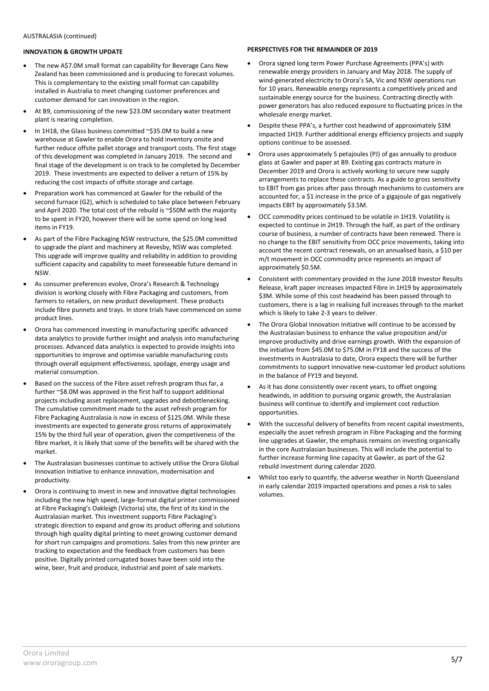#### **INNOVATION & GROWTH UPDATE**

- The new A\$7.0M small format can capability for Beverage Cans New Zealand has been commissioned and is producing to forecast volumes. This is complementary to the existing small format can capability installed in Australia to meet changing customer preferences and customer demand for can innovation in the region.
- At B9, commissioning of the new \$23.0M secondary water treatment plant is nearing completion.
- In 1H18, the Glass business committed ~\$35.0M to build a new warehouse at Gawler to enable Orora to hold inventory onsite and further reduce offsite pallet storage and transport costs. The first stage of this development was completed in January 2019. The second and final stage of the development is on track to be completed by December 2019. These investments are expected to deliver a return of 15% by reducing the cost impacts of offsite storage and cartage.
- Preparation work has commenced at Gawler for the rebuild of the second furnace (G2), which is scheduled to take place between February and April 2020. The total cost of the rebuild is ~\$50M with the majority to be spent in FY20, however there will be some spend on long lead items in FY19.
- As part of the Fibre Packaging NSW restructure, the \$25.0M committed to upgrade the plant and machinery at Revesby, NSW was completed. This upgrade will improve quality and reliability in addition to providing sufficient capacity and capability to meet foreseeable future demand in NSW.
- As consumer preferences evolve, Orora's Research & Technology division is working closely with Fibre Packaging and customers, from farmers to retailers, on new product development. These products include fibre punnets and trays. In store trials have commenced on some product lines.
- Orora has commenced investing in manufacturing specific advanced data analytics to provide further insight and analysis into manufacturing processes. Advanced data analytics is expected to provide insights into opportunities to improve and optimise variable manufacturing costs through overall equipment effectiveness, spoilage, energy usage and material consumption.
- Based on the success of the Fibre asset refresh program thus far, a further ~\$8.0M was approved in the first half to support additional projects including asset replacement, upgrades and debottlenecking. The cumulative commitment made to the asset refresh program for Fibre Packaging Australasia is now in excess of \$125.0M. While these investments are expected to generate gross returns of approximately 15% by the third full year of operation, given the competiveness of the fibre market, it is likely that some of the benefits will be shared with the market.
- The Australasian businesses continue to actively utilise the Orora Global Innovation Initiative to enhance innovation, modernisation and productivity.
- Orora is continuing to invest in new and innovative digital technologies including the new high speed, large-format digital printer commissioned at Fibre Packaging's Oakleigh (Victoria) site, the first of its kind in the Australasian market. This investment supports Fibre Packaging's strategic direction to expand and grow its product offering and solutions through high quality digital printing to meet growing customer demand for short run campaigns and promotions. Sales from this new printer are tracking to expectation and the feedback from customers has been positive. Digitally printed corrugated boxes have been sold into the wine, beer, fruit and produce, industrial and point of sale markets.

#### **PERSPECTIVES FOR THE REMAINDER OF 2019**

- Orora signed long term Power Purchase Agreements (PPA's) with renewable energy providers in January and May 2018. The supply of wind-generated electricity to Orora's SA, Vic and NSW operations run for 10 years. Renewable energy represents a competitively priced and sustainable energy source for the business. Contracting directly with power generators has also reduced exposure to fluctuating prices in the wholesale energy market.
- Despite these PPA's, a further cost headwind of approximately \$3M impacted 1H19. Further additional energy efficiency projects and supply options continue to be assessed.
- Orora uses approximately 5 petajoules (PJ) of gas annually to produce glass at Gawler and paper at B9. Existing gas contracts mature in December 2019 and Orora is actively working to secure new supply arrangements to replace these contracts. As a guide to gross sensitivity to EBIT from gas prices after pass through mechanisms to customers are accounted for, a \$1 increase in the price of a gigajoule of gas negatively impacts EBIT by approximately \$3.5M.
- OCC commodity prices continued to be volatile in 1H19. Volatility is expected to continue in 2H19. Through the half, as part of the ordinary course of business, a number of contracts have been renewed. There is no change to the EBIT sensitivity from OCC price movements, taking into account the recent contract renewals, on an annualised basis, a \$10 per m/t movement in OCC commodity price represents an impact of approximately \$0.5M.
- Consistent with commentary provided in the June 2018 Investor Results Release, kraft paper increases impacted Fibre in 1H19 by approximately \$3M. While some of this cost headwind has been passed through to customers, there is a lag in realising full increases through to the market which is likely to take 2-3 years to deliver.
- The Orora Global Innovation Initiative will continue to be accessed by the Australasian business to enhance the value proposition and/or improve productivity and drive earnings growth. With the expansion of the initiative from \$45.0M to \$75.0M in FY18 and the success of the investments in Australasia to date, Orora expects there will be further commitments to support innovative new-customer led product solutions in the balance of FY19 and beyond.
- As it has done consistently over recent years, to offset ongoing headwinds, in addition to pursuing organic growth, the Australasian business will continue to identify and implement cost reduction opportunities.
- With the successful delivery of benefits from recent capital investments, especially the asset refresh program in Fibre Packaging and the forming line upgrades at Gawler, the emphasis remains on investing organically in the core Australasian businesses. This will include the potential to further increase forming line capacity at Gawler, as part of the G2 rebuild investment during calendar 2020.
- Whilst too early to quantify, the adverse weather in North Queensland in early calendar 2019 impacted operations and poses a risk to sales volumes.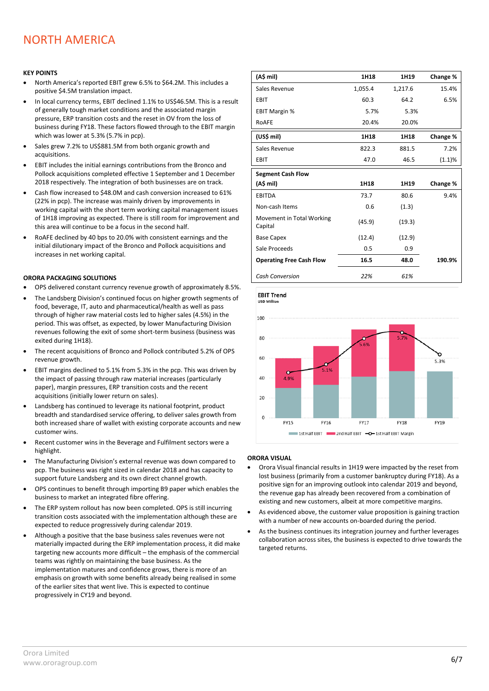# NORTH AMERICA

#### **KEY POINTS**

- North America's reported EBIT grew 6.5% to \$64.2M. This includes a positive \$4.5M translation impact.
- In local currency terms, EBIT declined 1.1% to US\$46.5M. This is a result of generally tough market conditions and the associated margin pressure, ERP transition costs and the reset in OV from the loss of business during FY18. These factors flowed through to the EBIT margin which was lower at 5.3% (5.7% in pcp).
- Sales grew 7.2% to US\$881.5M from both organic growth and acquisitions.
- EBIT includes the initial earnings contributions from the Bronco and Pollock acquisitions completed effective 1 September and 1 December 2018 respectively. The integration of both businesses are on track.
- Cash flow increased to \$48.0M and cash conversion increased to 61% (22% in pcp). The increase was mainly driven by improvements in working capital with the short term working capital management issues of 1H18 improving as expected. There is still room for improvement and this area will continue to be a focus in the second half.
- RoAFE declined by 40 bps to 20.0% with consistent earnings and the initial dilutionary impact of the Bronco and Pollock acquisitions and increases in net working capital.

#### **ORORA PACKAGING SOLUTIONS**

- OPS delivered constant currency revenue growth of approximately 8.5%.
- The Landsberg Division's continued focus on higher growth segments of food, beverage, IT, auto and pharmaceutical/health as well as pass through of higher raw material costs led to higher sales (4.5%) in the period. This was offset, as expected, by lower Manufacturing Division revenues following the exit of some short-term business (business was exited during 1H18).
- The recent acquisitions of Bronco and Pollock contributed 5.2% of OPS revenue growth.
- EBIT margins declined to 5.1% from 5.3% in the pcp. This was driven by the impact of passing through raw material increases (particularly paper), margin pressures, ERP transition costs and the recent acquisitions (initially lower return on sales).
- Landsberg has continued to leverage its national footprint, product breadth and standardised service offering, to deliver sales growth from both increased share of wallet with existing corporate accounts and new customer wins.
- Recent customer wins in the Beverage and Fulfilment sectors were a highlight.
- The Manufacturing Division's external revenue was down compared to pcp. The business was right sized in calendar 2018 and has capacity to support future Landsberg and its own direct channel growth.
- OPS continues to benefit through importing B9 paper which enables the business to market an integrated fibre offering.
- The ERP system rollout has now been completed. OPS is still incurring transition costs associated with the implementation although these are expected to reduce progressively during calendar 2019.
- Although a positive that the base business sales revenues were not materially impacted during the ERP implementation process, it did make targeting new accounts more difficult – the emphasis of the commercial teams was rightly on maintaining the base business. As the implementation matures and confidence grows, there is more of an emphasis on growth with some benefits already being realised in some of the earlier sites that went live. This is expected to continue progressively in CY19 and beyond.

| (A\$ mil)                            | 1H18    | 1H19    | Change % |
|--------------------------------------|---------|---------|----------|
| Sales Revenue                        | 1,055.4 | 1,217.6 | 15.4%    |
| EBIT                                 | 60.3    | 64.2    | 6.5%     |
| <b>EBIT Margin %</b>                 | 5.7%    | 5.3%    |          |
| RoAFE                                | 20.4%   | 20.0%   |          |
| (US\$ mil)                           | 1H18    | 1H18    | Change % |
| Sales Revenue                        | 822.3   | 881.5   | 7.2%     |
| EBIT                                 | 47.0    | 46.5    | (1.1)%   |
| <b>Segment Cash Flow</b>             |         |         |          |
| (A\$ mil)                            | 1H18    | 1H19    | Change % |
| <b>EBITDA</b>                        | 73.7    | 80.6    | 9.4%     |
| Non-cash Items                       | 0.6     | (1.3)   |          |
| Movement in Total Working<br>Capital | (45.9)  | (19.3)  |          |
| <b>Base Capex</b>                    | (12.4)  | (12.9)  |          |
| Sale Proceeds                        | 0.5     | 0.9     |          |
| <b>Operating Free Cash Flow</b>      | 16.5    | 48.0    | 190.9%   |
| <b>Cash Conversion</b>               | 22%     | 61%     |          |

**EBIT Trend** USD Mill



#### **ORORA VISUAL**

- Orora Visual financial results in 1H19 were impacted by the reset from lost business (primarily from a customer bankruptcy during FY18). As a positive sign for an improving outlook into calendar 2019 and beyond, the revenue gap has already been recovered from a combination of existing and new customers, albeit at more competitive margins.
- As evidenced above, the customer value proposition is gaining traction with a number of new accounts on-boarded during the period.
- As the business continues its integration journey and further leverages collaboration across sites, the business is expected to drive towards the targeted returns.